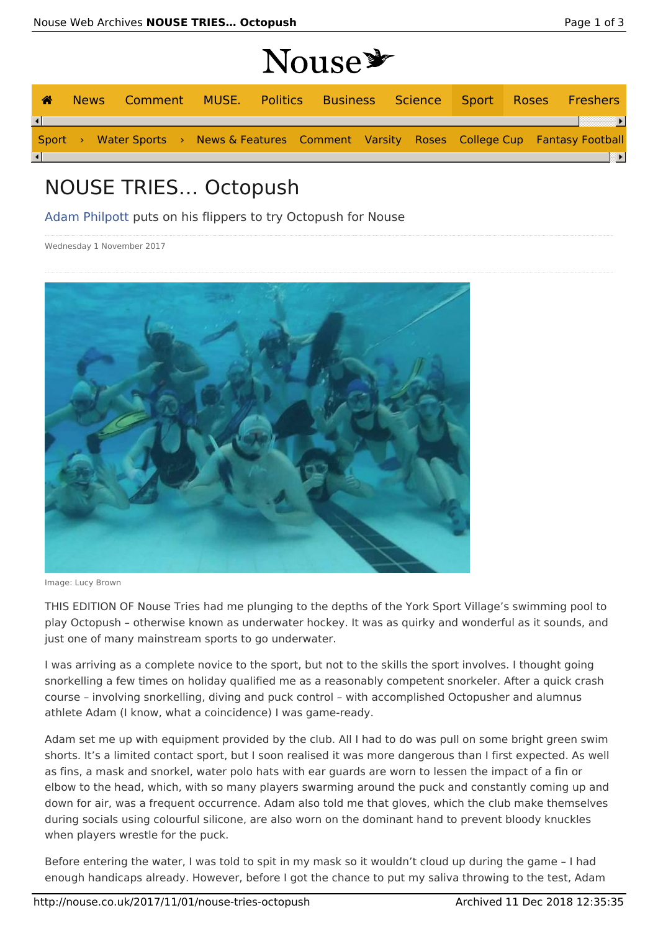## **Nouse**

|          |                                                                                           |  | $\sim$ $\sim$ $\sim$ $\sim$ |  |  |  |
|----------|-------------------------------------------------------------------------------------------|--|-----------------------------|--|--|--|
| ☎        | News Comment MUSE. Politics Business Science Sport Roses Freshers                         |  |                             |  |  |  |
| $\lceil$ |                                                                                           |  |                             |  |  |  |
|          | Sport > Water Sports > News & Features Comment Varsity Roses College Cup Fantasy Football |  |                             |  |  |  |
| $\lceil$ |                                                                                           |  |                             |  |  |  |

## NOUSE TRIES… Octopush

Adam Philpott puts on his flippers to try Octopush for Nouse

Wednesday 1 November 2017



Image: Lucy Brown

THIS EDITION OF Nouse Tries had me plunging to the depths of the York Sport Village's swimming pool to play Octopush – otherwise known as underwater hockey. It was as quirky and wonderful as it sounds, and just one of many mainstream sports to go underwater.

I was arriving as a complete novice to the sport, but not to the skills the sport involves. I thought going snorkelling a few times on holiday qualified me as a reasonably competent snorkeler. After a quick crash course – involving snorkelling, diving and puck control – with accomplished Octopusher and alumnus athlete Adam (I know, what a coincidence) I was game-ready.

Adam set me up with equipment provided by the club. All I had to do was pull on some bright green swim shorts. It's a limited contact sport, but I soon realised it was more dangerous than I first expected. As well as fins, a mask and snorkel, water polo hats with ear guards are worn to lessen the impact of a fin or elbow to the head, which, with so many players swarming around the puck and constantly coming up and down for air, was a frequent occurrence. Adam also told me that gloves, which the club make themselves during socials using colourful silicone, are also worn on the dominant hand to prevent bloody knuckles when players wrestle for the puck.

Before entering the water, I was told to spit in my mask so it wouldn't cloud up during the game – I had enough handicaps already. However, before I got the chance to put my saliva throwing to the test, Adam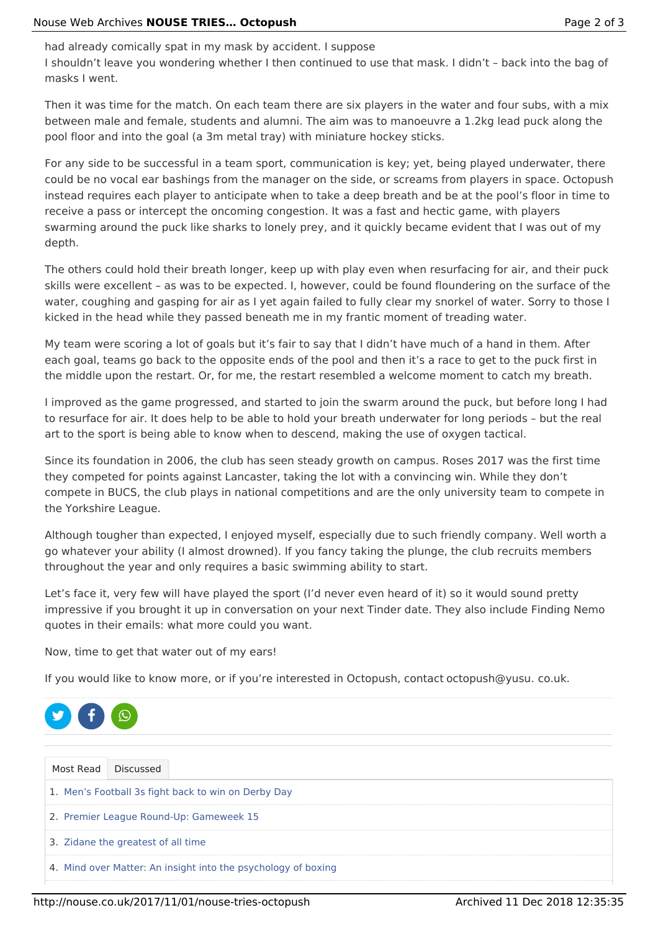had already comically spat in my mask by accident. I suppose I shouldn't leave you wondering whether I then continued to use that mask. I didn't – back into the bag of masks I went.

Then it was time for the match. On each team there are six players in the water and four subs, with a mix between male and female, students and alumni. The aim was to manoeuvre a 1.2kg lead puck along the pool floor and into the goal (a 3m metal tray) with miniature hockey sticks.

For any side to be successful in a team sport, communication is key; yet, being played underwater, there could be no vocal ear bashings from the manager on the side, or screams from players in space. Octopush instead requires each player to anticipate when to take a deep breath and be at the pool's floor in time to receive a pass or intercept the oncoming congestion. It was a fast and hectic game, with players swarming around the puck like sharks to lonely prey, and it quickly became evident that I was out of my depth.

The others could hold their breath longer, keep up with play even when resurfacing for air, and their puck skills were excellent – as was to be expected. I, however, could be found floundering on the surface of the water, coughing and gasping for air as I yet again failed to fully clear my snorkel of water. Sorry to those I kicked in the head while they passed beneath me in my frantic moment of treading water.

My team were scoring a lot of goals but it's fair to say that I didn't have much of a hand in them. After each goal, teams go back to the opposite ends of the pool and then it's a race to get to the puck first in the middle upon the restart. Or, for me, the restart resembled a welcome moment to catch my breath.

I improved as the game progressed, and started to join the swarm around the puck, but before long I had to resurface for air. It does help to be able to hold your breath underwater for long periods – but the real art to the sport is being able to know when to descend, making the use of oxygen tactical.

Since its foundation in 2006, the club has seen steady growth on campus. Roses 2017 was the first time they competed for points against Lancaster, taking the lot with a convincing win. While they don't compete in BUCS, the club plays in national competitions and are the only university team to compete in the Yorkshire League.

Although tougher than expected, I enjoyed myself, especially due to such friendly company. Well worth a go whatever your ability (I almost drowned). If you fancy taking the plunge, the club recruits members throughout the year and only requires a basic swimming ability to start.

Let's face it, very few will have played the sport (I'd never even heard of it) so it would sound pretty impressive if you brought it up in conversation on your next Tinder date. They also include Finding Nemo quotes in their emails: what more could you want.

Now, time to get that water out of my ears!

If you would like to know more, or if you're interested in Octopush, contact octopush@yusu. co.uk.



| Most Read Discussed                                           |  |  |  |  |  |  |  |  |
|---------------------------------------------------------------|--|--|--|--|--|--|--|--|
| 1. Men's Football 3s fight back to win on Derby Day           |  |  |  |  |  |  |  |  |
| 2. Premier League Round-Up: Gameweek 15                       |  |  |  |  |  |  |  |  |
| 3. Zidane the greatest of all time                            |  |  |  |  |  |  |  |  |
| 4. Mind over Matter: An insight into the psychology of boxing |  |  |  |  |  |  |  |  |